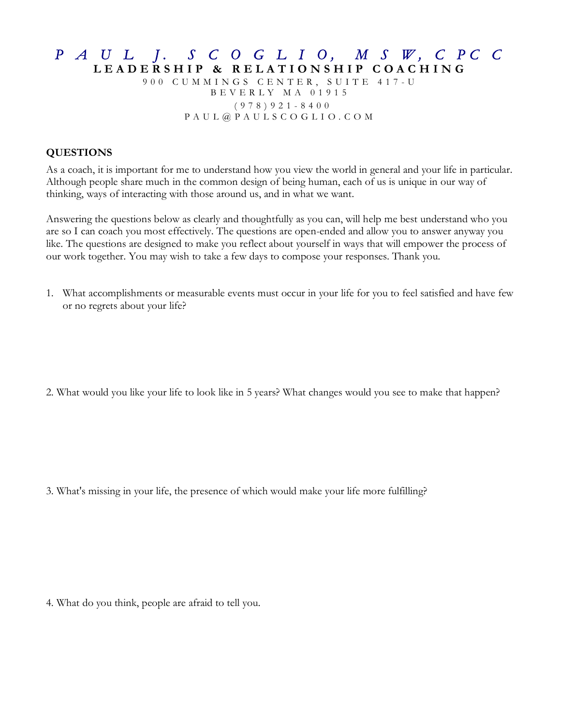## *P A U L J. S C O G L I O, M S W, C PC C* **LEADERSHIP & RELATIO NSHIP COACHING**  900 CUMMINGS CENTER, SUITE 417 - U BEVERLY MA 01915

 (978)921 - 8400 PAUL@PAULSCOGLIO.COM

## **QUESTIONS**

As a coach, it is important for me to understand how you view the world in general and your life in particular. Although people share much in the common design of being human, each of us is unique in our way of thinking, ways of interacting with those around us, and in what we want.

Answering the questions below as clearly and thoughtfully as you can, will help me best understand who you are so I can coach you most effectively. The questions are open-ended and allow you to answer anyway you like. The questions are designed to make you reflect about yourself in ways that will empower the process of our work together. You may wish to take a few days to compose your responses. Thank you.

1. What accomplishments or measurable events must occur in your life for you to feel satisfied and have few or no regrets about your life?

2. What would you like your life to look like in 5 years? What changes would you see to make that happen?

3. What's missing in your life, the presence of which would make your life more fulfilling?

4. What do you think, people are afraid to tell you.